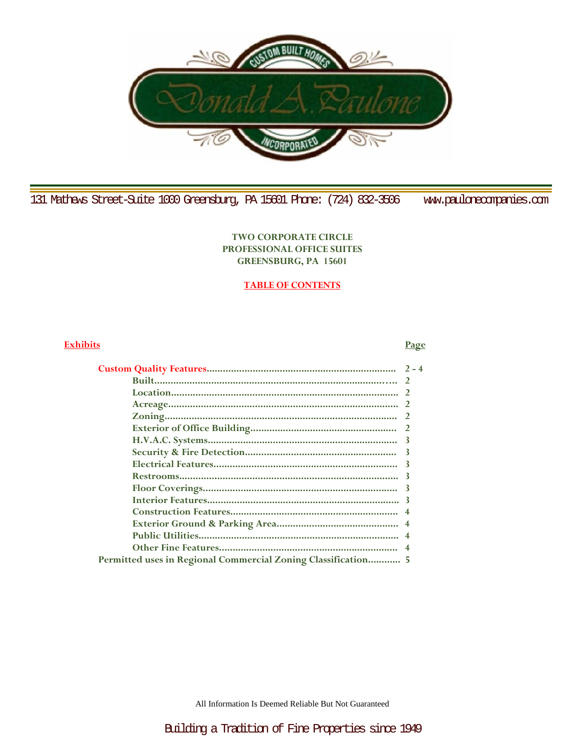

131 Mathews Street-Suite 1000 Greensburg, PA 15601 Phone: (724) 832-3506 www.paulonecompanies.com

# **TWO CORPORATE CIRCLE PROFESSIONAL OFFICE SUITES GREENSBURG, PA 15601**

# **TABLE OF CONTENTS**

# **Exhibits Page**

| Permitted uses in Regional Commercial Zoning Classification 5 |  |
|---------------------------------------------------------------|--|
|                                                               |  |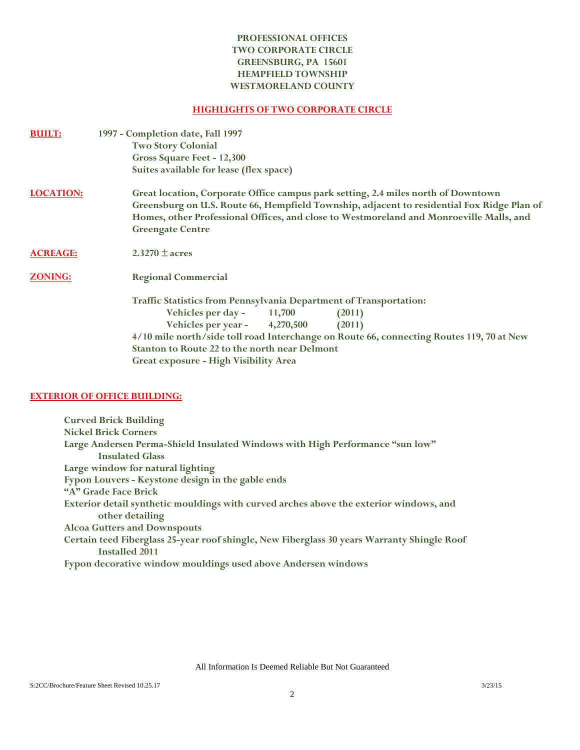# **PROFESSIONAL OFFICES TWO CORPORATE CIRCLE GREENSBURG, PA 15601 HEMPFIELD TOWNSHIP WESTMORELAND COUNTY**

# **HIGHLIGHTS OF TWO CORPORATE CIRCLE**

| <b>BUILT:</b>    | 1997 - Completion date, Fall 1997                                                                                                                                                                                                                                                                     |  |  |  |
|------------------|-------------------------------------------------------------------------------------------------------------------------------------------------------------------------------------------------------------------------------------------------------------------------------------------------------|--|--|--|
|                  | <b>Two Story Colonial</b>                                                                                                                                                                                                                                                                             |  |  |  |
|                  | Gross Square Feet - 12,300                                                                                                                                                                                                                                                                            |  |  |  |
|                  | Suites available for lease (flex space)                                                                                                                                                                                                                                                               |  |  |  |
| <b>LOCATION:</b> | Great location, Corporate Office campus park setting, 2.4 miles north of Downtown<br>Greensburg on U.S. Route 66, Hempfield Township, adjacent to residential Fox Ridge Plan of<br>Homes, other Professional Offices, and close to Westmoreland and Monroeville Malls, and<br><b>Greengate Centre</b> |  |  |  |
| <b>ACREAGE:</b>  | $2.3270 \pm \text{acres}$                                                                                                                                                                                                                                                                             |  |  |  |
| <b>ZONING:</b>   | <b>Regional Commercial</b>                                                                                                                                                                                                                                                                            |  |  |  |
|                  | <b>Traffic Statistics from Pennsylvania Department of Transportation:</b>                                                                                                                                                                                                                             |  |  |  |
|                  | Vehicles per day $-$ 11,700<br>(2011)                                                                                                                                                                                                                                                                 |  |  |  |
|                  | Vehicles per year - 4,270,500<br>(2011)                                                                                                                                                                                                                                                               |  |  |  |
|                  | 4/10 mile north/side toll road Interchange on Route 66, connecting Routes 119, 70 at New                                                                                                                                                                                                              |  |  |  |
|                  | Stanton to Route 22 to the north near Delmont                                                                                                                                                                                                                                                         |  |  |  |
|                  | Great exposure - High Visibility Area                                                                                                                                                                                                                                                                 |  |  |  |
|                  |                                                                                                                                                                                                                                                                                                       |  |  |  |

# **EXTERIOR OF OFFICE BUILDING:**

**Curved Brick Building Nickel Brick Corners Large Andersen Perma-Shield Insulated Windows with High Performance "sun low" Insulated Glass Large window for natural lighting Fypon Louvers - Keystone design in the gable ends "A" Grade Face Brick Exterior detail synthetic mouldings with curved arches above the exterior windows, and other detailing Alcoa Gutters and Downspouts Certain teed Fiberglass 25-year roof shingle, New Fiberglass 30 years Warranty Shingle Roof Installed 2011 Fypon decorative window mouldings used above Andersen windows**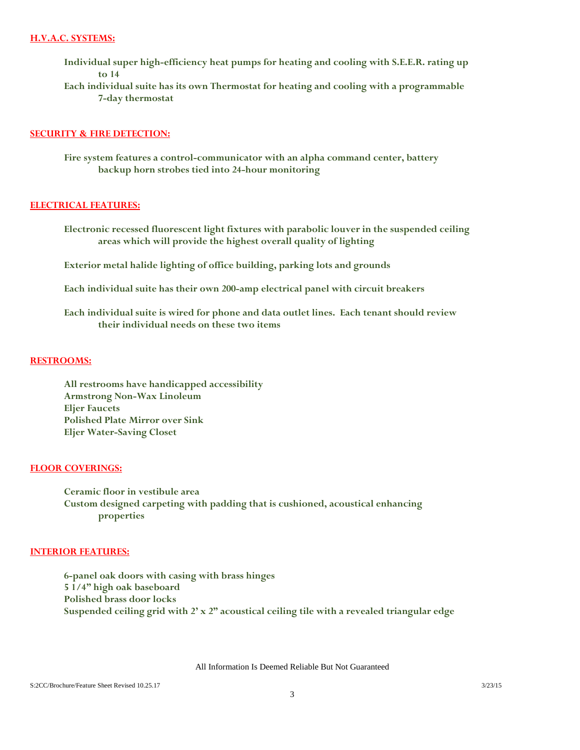## **H.V.A.C. SYSTEMS:**

- **Individual super high-efficiency heat pumps for heating and cooling with S.E.E.R. rating up to 14**
- **Each individual suite has its own Thermostat for heating and cooling with a programmable 7-day thermostat**

#### **SECURITY & FIRE DETECTION:**

**Fire system features a control-communicator with an alpha command center, battery backup horn strobes tied into 24-hour monitoring**

#### **ELECTRICAL FEATURES:**

- **Electronic recessed fluorescent light fixtures with parabolic louver in the suspended ceiling areas which will provide the highest overall quality of lighting**
- **Exterior metal halide lighting of office building, parking lots and grounds**
- **Each individual suite has their own 200-amp electrical panel with circuit breakers**
- **Each individual suite is wired for phone and data outlet lines. Each tenant should review their individual needs on these two items**

#### **RESTROOMS:**

**All restrooms have handicapped accessibility Armstrong Non-Wax Linoleum Eljer Faucets Polished Plate Mirror over Sink Eljer Water-Saving Closet**

## **FLOOR COVERINGS:**

**Ceramic floor in vestibule area Custom designed carpeting with padding that is cushioned, acoustical enhancing properties**

#### **INTERIOR FEATURES:**

**6-panel oak doors with casing with brass hinges 5 1/4" high oak baseboard Polished brass door locks Suspended ceiling grid with 2' x 2" acoustical ceiling tile with a revealed triangular edge**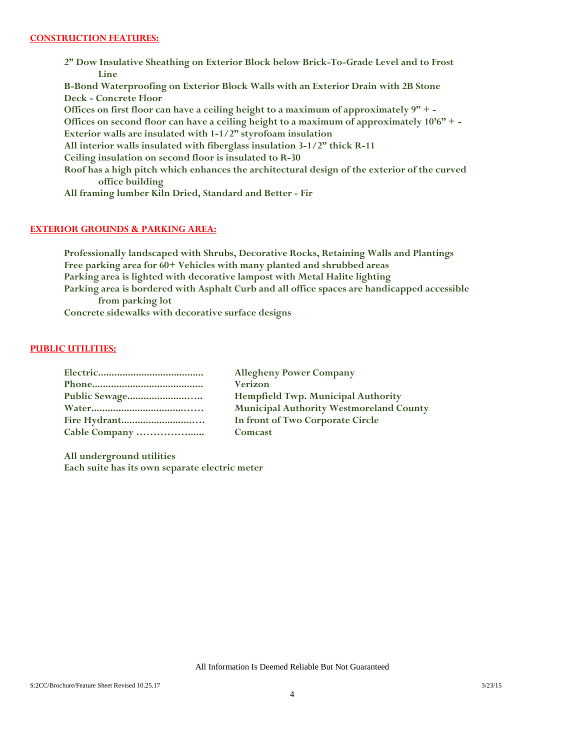**2" Dow Insulative Sheathing on Exterior Block below Brick-To-Grade Level and to Frost Line B-Bond Waterproofing on Exterior Block Walls with an Exterior Drain with 2B Stone Deck - Concrete Floor Offices on first floor can have a ceiling height to a maximum of approximately 9" + - Offices on second floor can have a ceiling height to a maximum of approximately 10'6" + - Exterior walls are insulated with 1-1/2" styrofoam insulation All interior walls insulated with fiberglass insulation 3-1/2" thick R-11 Ceiling insulation on second floor is insulated to R-30 Roof has a high pitch which enhances the architectural design of the exterior of the curved office building All framing lumber Kiln Dried, Standard and Better - Fir**

# **EXTERIOR GROUNDS & PARKING AREA:**

**Professionally landscaped with Shrubs, Decorative Rocks, Retaining Walls and Plantings Free parking area for 60+ Vehicles with many planted and shrubbed areas Parking area is lighted with decorative lampost with Metal Halite lighting Parking area is bordered with Asphalt Curb and all office spaces are handicapped accessible from parking lot Concrete sidewalks with decorative surface designs**

### **PUBLIC UTILITIES:**

| <b>Allegheny Power Company</b>                 |
|------------------------------------------------|
| <b>Verizon</b>                                 |
| <b>Hempfield Twp. Municipal Authority</b>      |
| <b>Municipal Authority Westmoreland County</b> |
| In front of Two Corporate Circle               |
| Comcast                                        |

**All underground utilities Each suite has its own separate electric meter**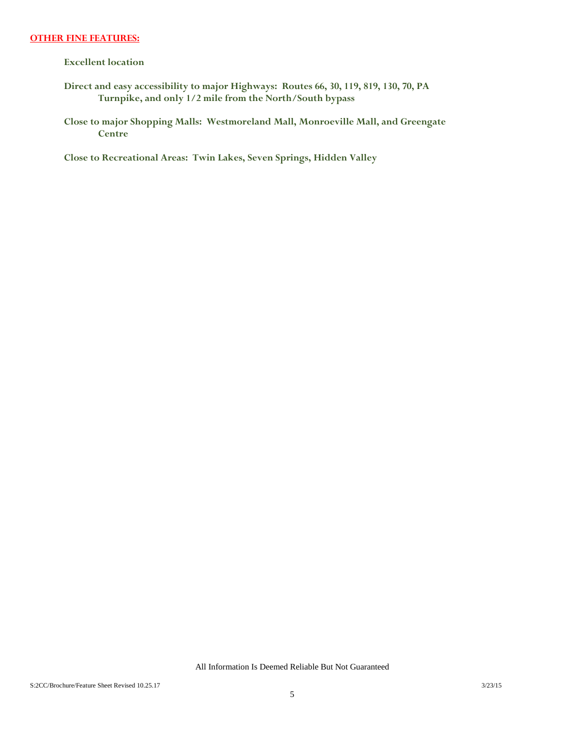#### **OTHER FINE FEATURES:**

**Excellent location**

- **Direct and easy accessibility to major Highways: Routes 66, 30, 119, 819, 130, 70, PA Turnpike, and only 1/2 mile from the North/South bypass**
- **Close to major Shopping Malls: Westmoreland Mall, Monroeville Mall, and Greengate Centre**

**Close to Recreational Areas: Twin Lakes, Seven Springs, Hidden Valley**